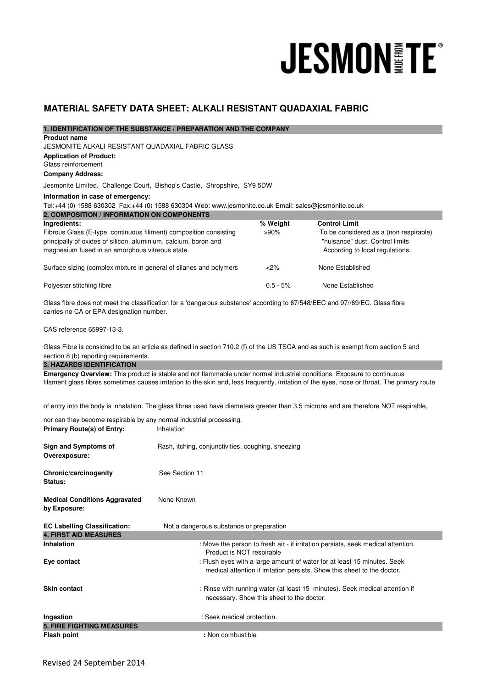# **JESMON FE®**

# **MATERIAL SAFETY DATA SHEET: ALKALI RESISTANT QUADAXIAL FABRIC**

| 1. IDENTIFICATION OF THE SUBSTANCE / PREPARATION AND THE COMPANY                                                            |                                                    |                                           |                                                                                                                                               |
|-----------------------------------------------------------------------------------------------------------------------------|----------------------------------------------------|-------------------------------------------|-----------------------------------------------------------------------------------------------------------------------------------------------|
| <b>Product name</b>                                                                                                         |                                                    |                                           |                                                                                                                                               |
| JESMONITE ALKALI RESISTANT QUADAXIAL FABRIC GLASS                                                                           |                                                    |                                           |                                                                                                                                               |
| <b>Application of Product:</b>                                                                                              |                                                    |                                           |                                                                                                                                               |
| Glass reinforcement                                                                                                         |                                                    |                                           |                                                                                                                                               |
| <b>Company Address:</b>                                                                                                     |                                                    |                                           |                                                                                                                                               |
| Jesmonite Limited. Challenge Court, Bishop's Castle, Shropshire, SY9 5DW                                                    |                                                    |                                           |                                                                                                                                               |
| Information in case of emergency:                                                                                           |                                                    |                                           |                                                                                                                                               |
| Tel:+44 (0) 1588 630302 Fax:+44 (0) 1588 630304 Web: www.jesmonite.co.uk Email: sales@jesmonite.co.uk                       |                                                    |                                           |                                                                                                                                               |
| 2. COMPOSITION / INFORMATION ON COMPONENTS                                                                                  |                                                    |                                           |                                                                                                                                               |
| Ingredients:                                                                                                                |                                                    | % Weight                                  | <b>Control Limit</b>                                                                                                                          |
| Fibrous Glass (E-type, continuous filiment) composition consisting                                                          |                                                    | $>90\%$                                   | To be considered as a (non respirable)                                                                                                        |
| principally of oxides of silicon, aluminium, calcium, boron and                                                             |                                                    |                                           | "nuisance" dust. Control limits                                                                                                               |
| magnesium fused in an amorphous vitreous state.                                                                             |                                                    |                                           | According to local regulations.                                                                                                               |
| Surface sizing (complex mixture in general of silanes and polymers                                                          |                                                    | $<$ 2%                                    | None Established                                                                                                                              |
| Polyester stitching fibre                                                                                                   |                                                    | $0.5 - 5%$                                | None Established                                                                                                                              |
| Glass fibre does not meet the classification for a 'dangerous substance' according to 67/548/EEC and 97//69/EC. Glass fibre |                                                    |                                           |                                                                                                                                               |
| carries no CA or EPA designation number.                                                                                    |                                                    |                                           |                                                                                                                                               |
|                                                                                                                             |                                                    |                                           |                                                                                                                                               |
| CAS reference 65997-13-3.                                                                                                   |                                                    |                                           |                                                                                                                                               |
|                                                                                                                             |                                                    |                                           | Glass Fibre is considred to be an article as defined in section 710.2 (f) of the US TSCA and as such is exempt from section 5 and             |
| section 8 (b) reporting requirements.                                                                                       |                                                    |                                           |                                                                                                                                               |
| <b>3. HAZARDS IDENTIFICATION</b>                                                                                            |                                                    |                                           |                                                                                                                                               |
| Emergency Overview: This product is stable and not flammable under normal industrial conditions. Exposure to continuous     |                                                    |                                           |                                                                                                                                               |
|                                                                                                                             |                                                    |                                           | filament glass fibres sometimes causes irritation to the skin and, less frequently, irritation of the eyes, nose or throat. The primary route |
|                                                                                                                             |                                                    |                                           |                                                                                                                                               |
|                                                                                                                             |                                                    |                                           | of entry into the body is inhalation. The glass fibres used have diameters greater than 3.5 microns and are therefore NOT respirable,         |
| nor can they become respirable by any normal industrial processing.                                                         |                                                    |                                           |                                                                                                                                               |
| <b>Primary Route(s) of Entry:</b>                                                                                           | Inhalation                                         |                                           |                                                                                                                                               |
|                                                                                                                             |                                                    |                                           |                                                                                                                                               |
| <b>Sign and Symptoms of</b>                                                                                                 | Rash, itching, conjunctivities, coughing, sneezing |                                           |                                                                                                                                               |
| Overexposure:                                                                                                               |                                                    |                                           |                                                                                                                                               |
|                                                                                                                             |                                                    |                                           |                                                                                                                                               |
| Chronic/carcinogenity                                                                                                       | See Section 11                                     |                                           |                                                                                                                                               |
| <b>Status:</b>                                                                                                              |                                                    |                                           |                                                                                                                                               |
|                                                                                                                             |                                                    |                                           |                                                                                                                                               |
| <b>Medical Conditions Aggravated</b>                                                                                        | None Known                                         |                                           |                                                                                                                                               |
| by Exposure:                                                                                                                |                                                    |                                           |                                                                                                                                               |
| <b>EC Labelling Classification:</b>                                                                                         | Not a dangerous substance or preparation           |                                           |                                                                                                                                               |
| <b>4. FIRST AID MEASURES</b>                                                                                                |                                                    |                                           |                                                                                                                                               |
| <b>Inhalation</b>                                                                                                           |                                                    |                                           | : Move the person to fresh air - if irritation persists, seek medical attention.                                                              |
|                                                                                                                             | Product is NOT respirable                          |                                           |                                                                                                                                               |
| Eye contact                                                                                                                 |                                                    |                                           | : Flush eyes with a large amount of water for at least 15 minutes. Seek                                                                       |
|                                                                                                                             |                                                    |                                           | medical attention if irritation persists. Show this sheet to the doctor.                                                                      |
|                                                                                                                             |                                                    |                                           |                                                                                                                                               |
| <b>Skin contact</b>                                                                                                         |                                                    |                                           | : Rinse with running water (at least 15 minutes). Seek medical attention if                                                                   |
|                                                                                                                             |                                                    | necessary. Show this sheet to the doctor. |                                                                                                                                               |
|                                                                                                                             |                                                    |                                           |                                                                                                                                               |
| Ingestion                                                                                                                   | : Seek medical protection.                         |                                           |                                                                                                                                               |
| <b>5. FIRE FIGHTING MEASURES</b>                                                                                            |                                                    |                                           |                                                                                                                                               |
| <b>Flash point</b>                                                                                                          | : Non combustible                                  |                                           |                                                                                                                                               |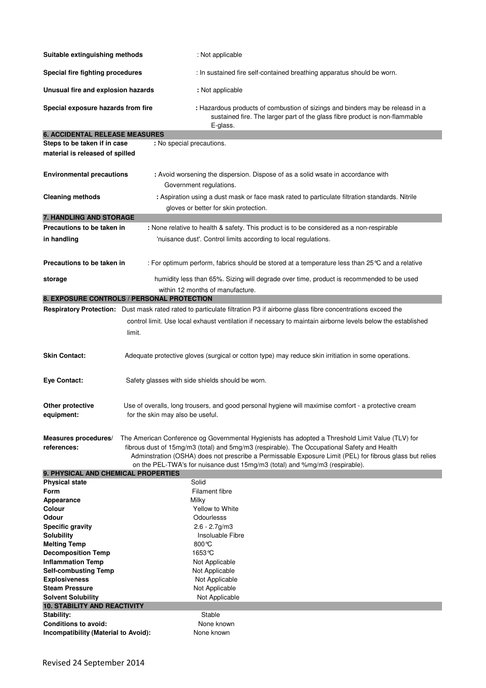| Suitable extinguishing methods                                                    | : Not applicable                                                                                                                                                                                                                                                                                                                                                                          |  |  |
|-----------------------------------------------------------------------------------|-------------------------------------------------------------------------------------------------------------------------------------------------------------------------------------------------------------------------------------------------------------------------------------------------------------------------------------------------------------------------------------------|--|--|
| Special fire fighting procedures                                                  | : In sustained fire self-contained breathing apparatus should be worn.                                                                                                                                                                                                                                                                                                                    |  |  |
| Unusual fire and explosion hazards                                                | : Not applicable                                                                                                                                                                                                                                                                                                                                                                          |  |  |
| Special exposure hazards from fire                                                | : Hazardous products of combustion of sizings and binders may be releasd in a<br>sustained fire. The larger part of the glass fibre product is non-flammable<br>E-glass.                                                                                                                                                                                                                  |  |  |
| <b>6. ACCIDENTAL RELEASE MEASURES</b>                                             |                                                                                                                                                                                                                                                                                                                                                                                           |  |  |
| Steps to be taken if in case                                                      | : No special precautions.                                                                                                                                                                                                                                                                                                                                                                 |  |  |
| material is released of spilled                                                   |                                                                                                                                                                                                                                                                                                                                                                                           |  |  |
| <b>Environmental precautions</b>                                                  | : Avoid worsening the dispersion. Dispose of as a solid wsate in accordance with<br>Government regulations.                                                                                                                                                                                                                                                                               |  |  |
| <b>Cleaning methods</b>                                                           | : Aspiration using a dust mask or face mask rated to particulate filtration standards. Nitrile                                                                                                                                                                                                                                                                                            |  |  |
|                                                                                   | gloves or better for skin protection.                                                                                                                                                                                                                                                                                                                                                     |  |  |
| 7. HANDLING AND STORAGE                                                           |                                                                                                                                                                                                                                                                                                                                                                                           |  |  |
| Precautions to be taken in                                                        | : None relative to health & safety. This product is to be considered as a non-respirable                                                                                                                                                                                                                                                                                                  |  |  |
| in handling                                                                       | 'nuisance dust'. Control limits according to local regulations.                                                                                                                                                                                                                                                                                                                           |  |  |
|                                                                                   |                                                                                                                                                                                                                                                                                                                                                                                           |  |  |
| Precautions to be taken in                                                        | : For optimum perform, fabrics should be stored at a temperature less than 25 °C and a relative                                                                                                                                                                                                                                                                                           |  |  |
| storage                                                                           | humidity less than 65%. Sizing will degrade over time, product is recommended to be used                                                                                                                                                                                                                                                                                                  |  |  |
|                                                                                   | within 12 months of manufacture.                                                                                                                                                                                                                                                                                                                                                          |  |  |
|                                                                                   | 8. EXPOSURE CONTROLS / PERSONAL PROTECTION                                                                                                                                                                                                                                                                                                                                                |  |  |
|                                                                                   | <b>Respiratory Protection:</b> Dust mask rated rated to particulate filtration P3 if airborne glass fibre concentrations exceed the                                                                                                                                                                                                                                                       |  |  |
|                                                                                   | control limit. Use local exhaust ventilation if necessary to maintain airborne levels below the established                                                                                                                                                                                                                                                                               |  |  |
|                                                                                   | limit.                                                                                                                                                                                                                                                                                                                                                                                    |  |  |
|                                                                                   |                                                                                                                                                                                                                                                                                                                                                                                           |  |  |
| <b>Skin Contact:</b>                                                              | Adequate protective gloves (surgical or cotton type) may reduce skin irritiation in some operations.                                                                                                                                                                                                                                                                                      |  |  |
| <b>Eye Contact:</b>                                                               | Safety glasses with side shields should be worn.                                                                                                                                                                                                                                                                                                                                          |  |  |
| Other protective<br>equipment:                                                    | Use of overalls, long trousers, and good personal hygiene will maximise comfort - a protective cream<br>for the skin may also be useful.                                                                                                                                                                                                                                                  |  |  |
| Measures procedures/<br>references:<br><b>9. PHYSICAL AND CHEMICAL PROPERTIES</b> | The American Conference og Governmental Hygienists has adopted a Threshold Limit Value (TLV) for<br>fibrous dust of 15mg/m3 (total) and 5mg/m3 (respirable). The Occupational Safety and Health<br>Adminstration (OSHA) does not prescribe a Permissable Exposure Limit (PEL) for fibrous glass but relies<br>on the PEL-TWA's for nuisance dust 15mg/m3 (total) and %mg/m3 (respirable). |  |  |
| <b>Physical state</b>                                                             | Solid                                                                                                                                                                                                                                                                                                                                                                                     |  |  |
| Form                                                                              | Filament fibre                                                                                                                                                                                                                                                                                                                                                                            |  |  |
| Appearance                                                                        | Milky                                                                                                                                                                                                                                                                                                                                                                                     |  |  |
| Colour                                                                            | Yellow to White                                                                                                                                                                                                                                                                                                                                                                           |  |  |
| Odour                                                                             | Odourlesss                                                                                                                                                                                                                                                                                                                                                                                |  |  |
| <b>Specific gravity</b>                                                           | $2.6 - 2.7$ g/m $3$                                                                                                                                                                                                                                                                                                                                                                       |  |  |
| <b>Solubility</b>                                                                 | Insoluable Fibre                                                                                                                                                                                                                                                                                                                                                                          |  |  |
| <b>Melting Temp</b>                                                               | $800^{\circ}$ C                                                                                                                                                                                                                                                                                                                                                                           |  |  |
| <b>Decomposition Temp</b><br><b>Inflammation Temp</b>                             | 1653 °C<br>Not Applicable                                                                                                                                                                                                                                                                                                                                                                 |  |  |
| <b>Self-combusting Temp</b>                                                       | Not Applicable                                                                                                                                                                                                                                                                                                                                                                            |  |  |
| <b>Explosiveness</b>                                                              | Not Applicable                                                                                                                                                                                                                                                                                                                                                                            |  |  |
| <b>Steam Pressure</b>                                                             | Not Applicable                                                                                                                                                                                                                                                                                                                                                                            |  |  |
| <b>Solvent Solubility</b>                                                         | Not Applicable                                                                                                                                                                                                                                                                                                                                                                            |  |  |
| <b>10. STABILITY AND REACTIVITY</b>                                               |                                                                                                                                                                                                                                                                                                                                                                                           |  |  |
| Stability:                                                                        | Stable                                                                                                                                                                                                                                                                                                                                                                                    |  |  |
| <b>Conditions to avoid:</b>                                                       | None known                                                                                                                                                                                                                                                                                                                                                                                |  |  |
| Incompatibility (Material to Avoid):                                              | None known                                                                                                                                                                                                                                                                                                                                                                                |  |  |